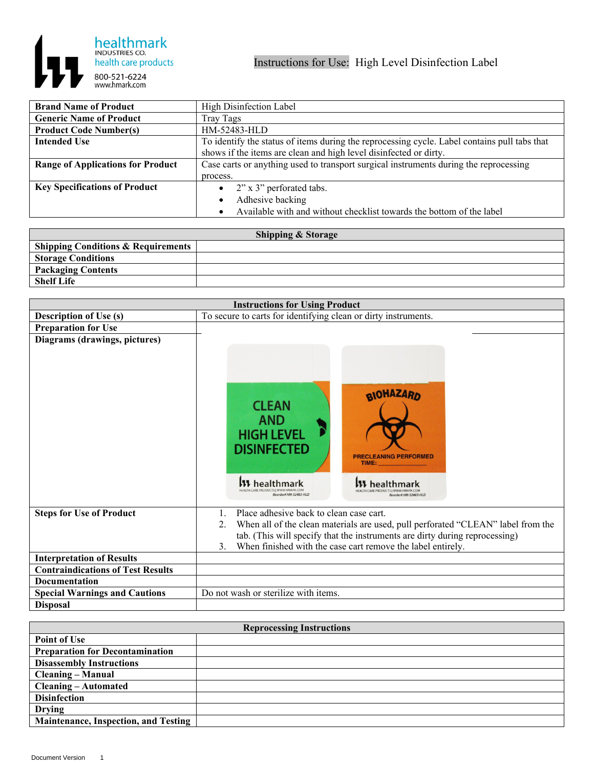

| <b>Brand Name of Product</b>             | High Disinfection Label                                                                      |
|------------------------------------------|----------------------------------------------------------------------------------------------|
| <b>Generic Name of Product</b>           | Tray Tags                                                                                    |
| <b>Product Code Number(s)</b>            | HM-52483-HLD                                                                                 |
| <b>Intended Use</b>                      | To identify the status of items during the reprocessing cycle. Label contains pull tabs that |
|                                          | shows if the items are clean and high level disinfected or dirty.                            |
| <b>Range of Applications for Product</b> | Case carts or anything used to transport surgical instruments during the reprocessing        |
|                                          | process.                                                                                     |
| <b>Key Specifications of Product</b>     | 2" x 3" perforated tabs.<br>$\bullet$                                                        |
|                                          | Adhesive backing<br>$\bullet$                                                                |
|                                          | Available with and without checklist towards the bottom of the label                         |

| <b>Shipping &amp; Storage</b>                 |  |  |
|-----------------------------------------------|--|--|
| <b>Shipping Conditions &amp; Requirements</b> |  |  |
| <b>Storage Conditions</b>                     |  |  |
| <b>Packaging Contents</b>                     |  |  |
| <b>Shelf Life</b>                             |  |  |

| <b>Instructions for Using Product</b>    |                                                                                                                                                                                                                                                                                                  |
|------------------------------------------|--------------------------------------------------------------------------------------------------------------------------------------------------------------------------------------------------------------------------------------------------------------------------------------------------|
| <b>Description of Use (s)</b>            | To secure to carts for identifying clean or dirty instruments.                                                                                                                                                                                                                                   |
| <b>Preparation for Use</b>               |                                                                                                                                                                                                                                                                                                  |
| Diagrams (drawings, pictures)            | <b>BIOHAZARD</b><br><b>CLEAN</b><br><b>AND</b><br><b>HIGH LEVEL</b><br><b>DISINFECTED</b><br><b>PRECLEANING PERFORMED</b><br>TIME:<br><b>1</b> healthmarl                                                                                                                                        |
| <b>Steps for Use of Product</b>          | Place adhesive back to clean case cart.<br>$1_{-}$<br>When all of the clean materials are used, pull perforated "CLEAN" label from the<br>2.<br>tab. (This will specify that the instruments are dirty during reprocessing)<br>When finished with the case cart remove the label entirely.<br>3. |
| <b>Interpretation of Results</b>         |                                                                                                                                                                                                                                                                                                  |
| <b>Contraindications of Test Results</b> |                                                                                                                                                                                                                                                                                                  |
| <b>Documentation</b>                     |                                                                                                                                                                                                                                                                                                  |
| <b>Special Warnings and Cautions</b>     | Do not wash or sterilize with items.                                                                                                                                                                                                                                                             |
| <b>Disposal</b>                          |                                                                                                                                                                                                                                                                                                  |

| <b>Reprocessing Instructions</b>            |  |
|---------------------------------------------|--|
| <b>Point of Use</b>                         |  |
| <b>Preparation for Decontamination</b>      |  |
| <b>Disassembly Instructions</b>             |  |
| <b>Cleaning – Manual</b>                    |  |
| <b>Cleaning – Automated</b>                 |  |
| <b>Disinfection</b>                         |  |
| <b>Drying</b>                               |  |
| <b>Maintenance, Inspection, and Testing</b> |  |